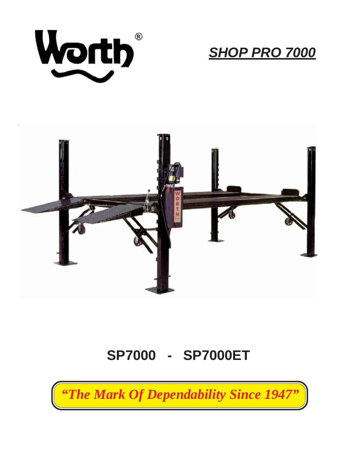

*SHOP PRO 7000*



## **SP7000 - SP7000ET**

*"The Mark Of Dependability Since 1947"*